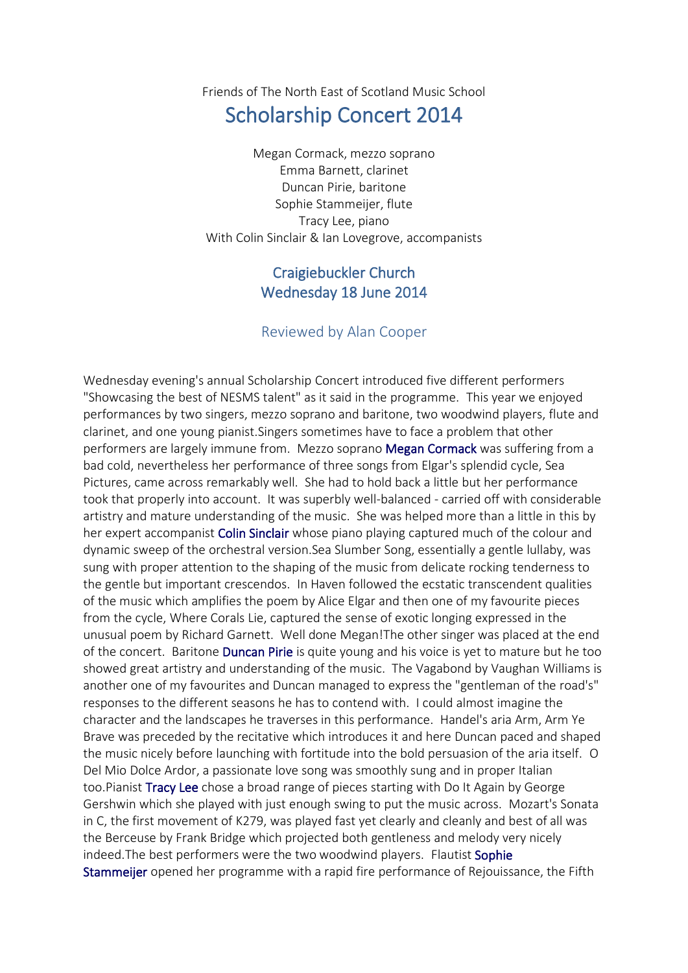## Friends of The North East of Scotland Music School

## Scholarship Concert 2014

Megan Cormack, mezzo soprano Emma Barnett, clarinet Duncan Pirie, baritone Sophie Stammeijer, flute Tracy Lee, piano With Colin Sinclair & Ian Lovegrove, accompanists

## Craigiebuckler Church Wednesday 18 June 2014

## Reviewed by Alan Cooper

Wednesday evening's annual Scholarship Concert introduced five different performers "Showcasing the best of NESMS talent" as it said in the programme. This year we enjoyed performances by two singers, mezzo soprano and baritone, two woodwind players, flute and clarinet, and one young pianist.Singers sometimes have to face a problem that other performers are largely immune from. Mezzo soprano Megan Cormack was suffering from a bad cold, nevertheless her performance of three songs from Elgar's splendid cycle, Sea Pictures, came across remarkably well. She had to hold back a little but her performance took that properly into account. It was superbly well-balanced - carried off with considerable artistry and mature understanding of the music. She was helped more than a little in this by her expert accompanist Colin Sinclair whose piano playing captured much of the colour and dynamic sweep of the orchestral version.Sea Slumber Song, essentially a gentle lullaby, was sung with proper attention to the shaping of the music from delicate rocking tenderness to the gentle but important crescendos. In Haven followed the ecstatic transcendent qualities of the music which amplifies the poem by Alice Elgar and then one of my favourite pieces from the cycle, Where Corals Lie, captured the sense of exotic longing expressed in the unusual poem by Richard Garnett. Well done Megan!The other singer was placed at the end of the concert. Baritone Duncan Pirie is quite young and his voice is yet to mature but he too showed great artistry and understanding of the music. The Vagabond by Vaughan Williams is another one of my favourites and Duncan managed to express the "gentleman of the road's" responses to the different seasons he has to contend with. I could almost imagine the character and the landscapes he traverses in this performance. Handel's aria Arm, Arm Ye Brave was preceded by the recitative which introduces it and here Duncan paced and shaped the music nicely before launching with fortitude into the bold persuasion of the aria itself. O Del Mio Dolce Ardor, a passionate love song was smoothly sung and in proper Italian too.Pianist Tracy Lee chose a broad range of pieces starting with Do It Again by George Gershwin which she played with just enough swing to put the music across. Mozart's Sonata in C, the first movement of K279, was played fast yet clearly and cleanly and best of all was the Berceuse by Frank Bridge which projected both gentleness and melody very nicely indeed. The best performers were the two woodwind players. Flautist Sophie Stammeijer opened her programme with a rapid fire performance of Rejouissance, the Fifth